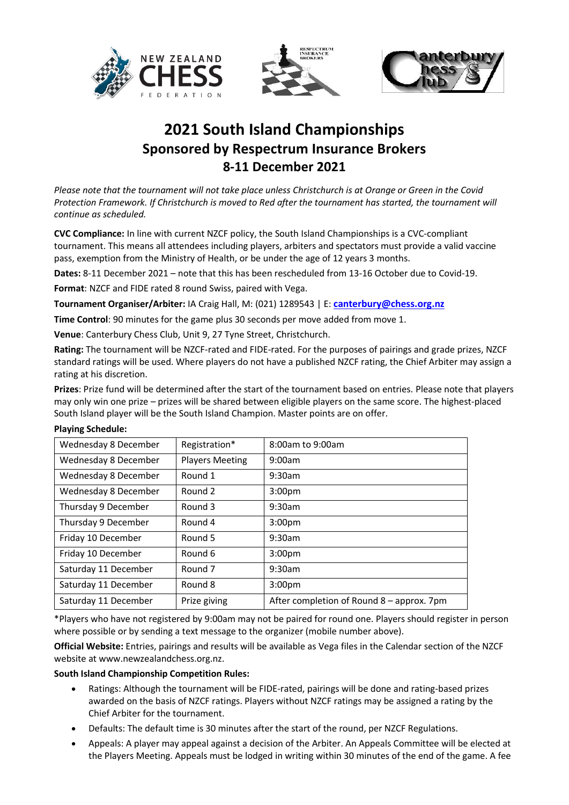





## **2021 South Island Championships Sponsored by Respectrum Insurance Brokers 8-11 December 2021**

*Please note that the tournament will not take place unless Christchurch is at Orange or Green in the Covid Protection Framework. If Christchurch is moved to Red after the tournament has started, the tournament will continue as scheduled.*

**CVC Compliance:** In line with current NZCF policy, the South Island Championships is a CVC-compliant tournament. This means all attendees including players, arbiters and spectators must provide a valid vaccine pass, exemption from the Ministry of Health, or be under the age of 12 years 3 months.

**Dates:** 8-11 December 2021 – note that this has been rescheduled from 13-16 October due to Covid-19.

**Format**: NZCF and FIDE rated 8 round Swiss, paired with Vega.

**Tournament Organiser/Arbiter:** IA Craig Hall, M: (021) 1289543 | E: **[canterbury@chess.org.nz](mailto:canterbury@chess.org.nz)**

**Time Control**: 90 minutes for the game plus 30 seconds per move added from move 1.

**Venue**: Canterbury Chess Club, Unit 9, 27 Tyne Street, Christchurch.

**Rating:** The tournament will be NZCF-rated and FIDE-rated. For the purposes of pairings and grade prizes, NZCF standard ratings will be used. Where players do not have a published NZCF rating, the Chief Arbiter may assign a rating at his discretion.

**Prizes**: Prize fund will be determined after the start of the tournament based on entries. Please note that players may only win one prize – prizes will be shared between eligible players on the same score. The highest-placed South Island player will be the South Island Champion. Master points are on offer.

## **Playing Schedule:**

| Wednesday 8 December | Registration*          | 8:00am to 9:00am                          |
|----------------------|------------------------|-------------------------------------------|
| Wednesday 8 December | <b>Players Meeting</b> | 9:00am                                    |
| Wednesday 8 December | Round 1                | 9:30am                                    |
| Wednesday 8 December | Round <sub>2</sub>     | 3:00 <sub>pm</sub>                        |
| Thursday 9 December  | Round 3                | 9:30am                                    |
| Thursday 9 December  | Round 4                | 3:00 <sub>pm</sub>                        |
| Friday 10 December   | Round 5                | 9:30am                                    |
| Friday 10 December   | Round 6                | 3:00 <sub>pm</sub>                        |
| Saturday 11 December | Round <sub>7</sub>     | 9:30am                                    |
| Saturday 11 December | Round 8                | 3:00 <sub>pm</sub>                        |
| Saturday 11 December | Prize giving           | After completion of Round 8 – approx. 7pm |

\*Players who have not registered by 9:00am may not be paired for round one. Players should register in person where possible or by sending a text message to the organizer (mobile number above).

**Official Website:** Entries, pairings and results will be available as Vega files in the Calendar section of the NZCF website at www.newzealandchess.org.nz.

## **South Island Championship Competition Rules:**

- Ratings: Although the tournament will be FIDE-rated, pairings will be done and rating-based prizes awarded on the basis of NZCF ratings. Players without NZCF ratings may be assigned a rating by the Chief Arbiter for the tournament.
- Defaults: The default time is 30 minutes after the start of the round, per NZCF Regulations.
- Appeals: A player may appeal against a decision of the Arbiter. An Appeals Committee will be elected at the Players Meeting. Appeals must be lodged in writing within 30 minutes of the end of the game. A fee